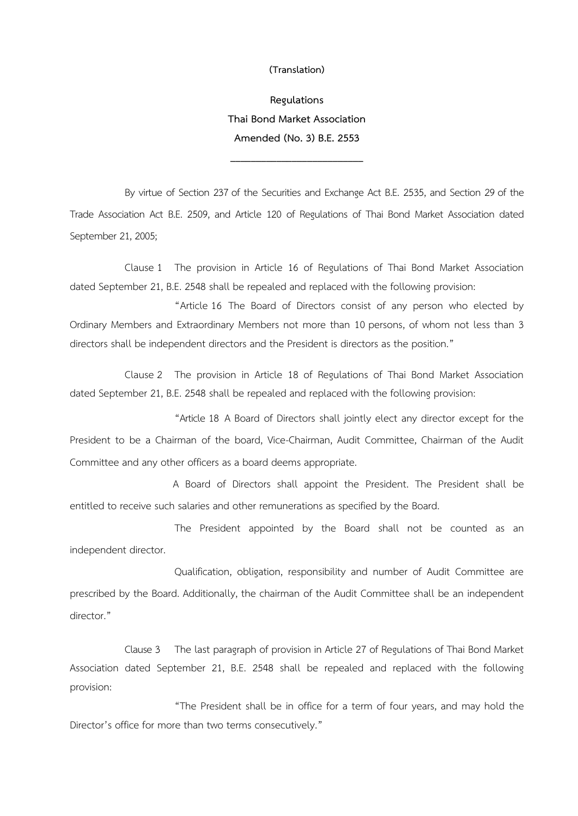## **(Translation)**

**Regulations Thai Bond Market Association Amended (No. 3) B.E. 2553** 

**\_\_\_\_\_\_\_\_\_\_\_\_\_\_\_\_\_\_\_\_\_\_\_\_\_\_**

By virtue of Section 237 of the Securities and Exchange Act B.E. 2535, and Section 29 of the Trade Association Act B.E. 2509, and Article 120 of Regulations of Thai Bond Market Association dated September 21, 2005;

Clause 1 The provision in Article 16 of Regulations of Thai Bond Market Association dated September 21, B.E. 2548 shall be repealed and replaced with the following provision:

"Article 16 The Board of Directors consist of any person who elected by Ordinary Members and Extraordinary Members not more than 10 persons, of whom not less than 3 directors shall be independent directors and the President is directors as the position."

Clause 2 The provision in Article 18 of Regulations of Thai Bond Market Association dated September 21, B.E. 2548 shall be repealed and replaced with the following provision:

"Article 18 A Board of Directors shall jointly elect any director except for the President to be a Chairman of the board, Vice-Chairman, Audit Committee, Chairman of the Audit Committee and any other officers as a board deems appropriate.

A Board of Directors shall appoint the President. The President shall be entitled to receive such salaries and other remunerations as specified by the Board.

The President appointed by the Board shall not be counted as an independent director.

Qualification, obligation, responsibility and number of Audit Committee are prescribed by the Board. Additionally, the chairman of the Audit Committee shall be an independent director."

Clause 3 The last paragraph of provision in Article 27 of Regulations of Thai Bond Market Association dated September 21, B.E. 2548 shall be repealed and replaced with the following provision:

"The President shall be in office for a term of four years, and may hold the Director's office for more than two terms consecutively."